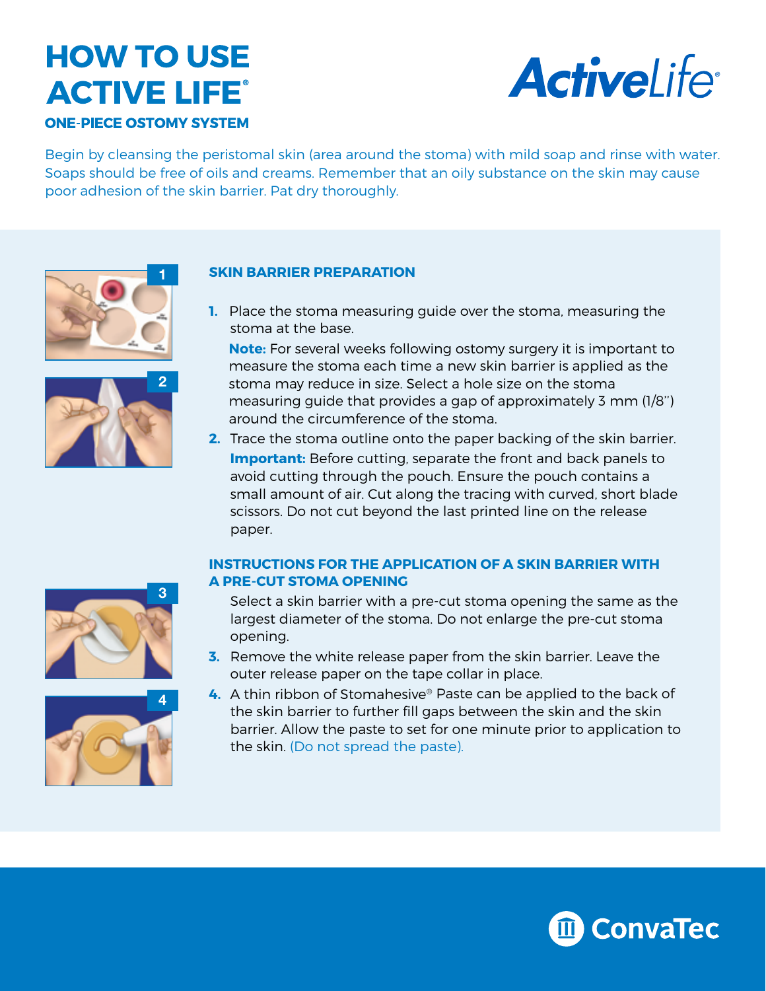# **HOW TO USE ACTIVE LIFE®**





Begin by cleansing the peristomal skin (area around the stoma) with mild soap and rinse with water. Soaps should be free of oils and creams. Remember that an oily substance on the skin may cause poor adhesion of the skin barrier. Pat dry thoroughly.





## **SKIN BARRIER PREPARATION**

**1.** Place the stoma measuring guide over the stoma, measuring the stoma at the base.

**Note:** For several weeks following ostomy surgery it is important to measure the stoma each time a new skin barrier is applied as the stoma may reduce in size. Select a hole size on the stoma measuring guide that provides a gap of approximately 3 mm (1/8'') around the circumference of the stoma.

**2.** Trace the stoma outline onto the paper backing of the skin barrier. **Important:** Before cutting, separate the front and back panels to avoid cutting through the pouch. Ensure the pouch contains a small amount of air. Cut along the tracing with curved, short blade scissors. Do not cut beyond the last printed line on the release paper.

## **INSTRUCTIONS FOR THE APPLICATION OF A SKIN BARRIER WITH A PRE-CUT STOMA OPENING**





- Select a skin barrier with a pre-cut stoma opening the same as the largest diameter of the stoma. Do not enlarge the pre-cut stoma opening.
- **3.** Remove the white release paper from the skin barrier. Leave the outer release paper on the tape collar in place.
- **4.** A thin ribbon of Stomahesive® Paste can be applied to the back of the skin barrier to further fill gaps between the skin and the skin barrier. Allow the paste to set for one minute prior to application to the skin. (Do not spread the paste).